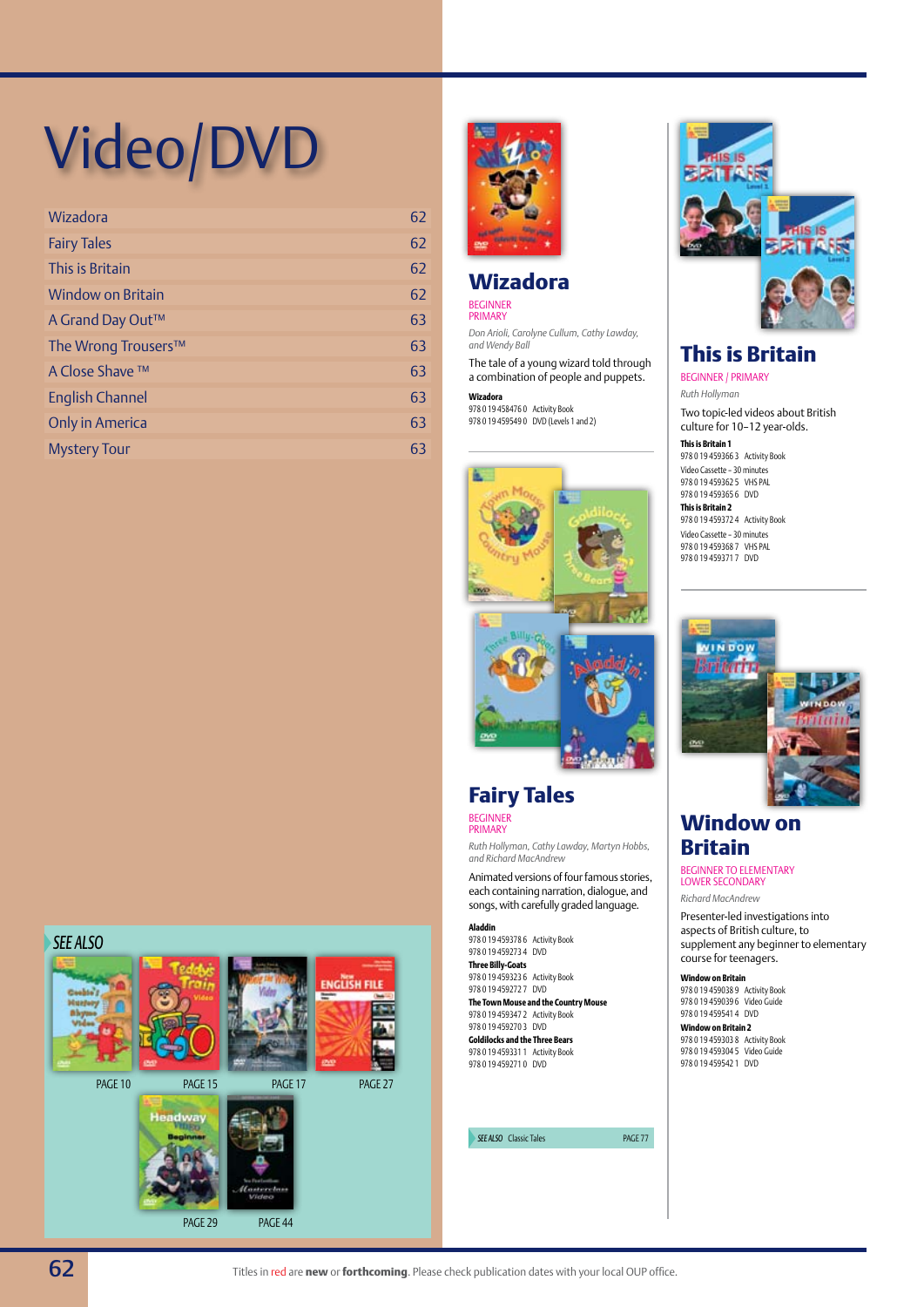# Video/DVD

| Wizadora                 | 62 |
|--------------------------|----|
| <b>Fairy Tales</b>       | 62 |
| This is Britain          | 62 |
| <b>Window on Britain</b> | 62 |
| A Grand Day Out™         | 63 |
| The Wrong Trousers™      | 63 |
| A Close Shave ™          | 63 |
| <b>English Channel</b>   | 63 |
| <b>Only in America</b>   | 63 |
| <b>Mystery Tour</b>      | 63 |



## **Wizadora**

Beginner Primary

*Don Arioli, Carolyne Cullum, Cathy Lawday, and Wendy Ball*

The tale of a young wizard told through a combination of people and puppets.

**Wizadora** 978 0 19 458476 0 Activity Book 978 0 19 459549 0 DVD (Levels 1 and 2)



# **Fairy Tales**

Beginner Primary

*Ruth Hollyman, Cathy Lawday, Martyn Hobbs, and Richard MacAndrew*

Animated versions of four famous stories, each containing narration, dialogue, and songs, with carefully graded language.

**Aladdin** 978 0 19 459378 6 Activity Book 978 0 19 459273 4 DVD **Three Billy-Goats** 978 0 19 459323 6 Activity Book 978 0 19 459272 7 DVD

**The Town Mouse and the Country Mouse** 978 0 19 459347 2 Activity Book 978 0 19 459270 3 DVD

**Goldilocks and the Three Bears** 978 0 19 459331 1 Activity Book 978 0 19 459271 0 DVD

**SEE ALSO** Classic Tales **page 77** 



#### **This is Britain** Beginner / primary

*Ruth Hollyman*

Two topic-led videos about British culture for 10–12 year-olds.

**This is Britain 1** 978 0 19 459366 3 Activity Book Video Cassette – 30 minutes 978 0 19 459362 5 VHS PAL 978 0 19 459365 6 DVD

**This is Britain 2** 978 0 19 459372 4 Activity Book Video Cassette – 30 minutes 978 0 19 459368 7 VHS PAL 978 0 19 459371 7 DVD



# **Window on Britain**

BEGINNER TO ELEMENTARY LOWER SECONDARY

*Richard MacAndrew*

Presenter-led investigations into aspects of British culture, to supplement any beginner to elementary course for teenagers.

**Window on Britain** 978 0 19 459038 9 Activity Book 978 0 19 459039 6 Video Guide 978 0 19 459541 4 DVD

**Window on Britain 2** 978 0 19 459303 8 Activity Book 978 0 19 459304 5 Video Guide 978 0 19 459542 1 DVD